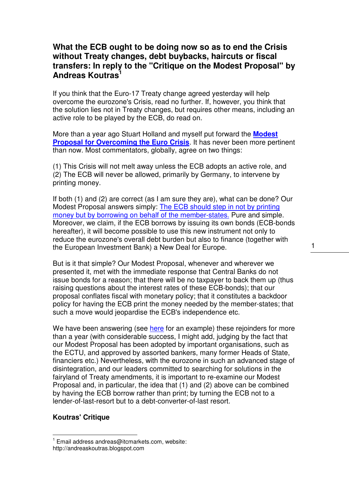# **What the ECB ought to be doing now so as to end the Crisis without Treaty changes, debt buybacks, haircuts or fiscal transfers: In reply to the "Critique on the Modest Proposal" by Andreas Koutras<sup>1</sup>**

If you think that the Euro-17 Treaty change agreed yesterday will help overcome the eurozone's Crisis, read no further. If, however, you think that the solution lies not in Treaty changes, but requires other means, including an active role to be played by the ECB, do read on.

More than a year ago Stuart Holland and myself put forward the **Modest Proposal for Overcoming the Euro Crisis**. It has never been more pertinent than now. Most commentators, globally, agree on two things:

(1) This Crisis will not melt away unless the ECB adopts an active role, and (2) The ECB will never be allowed, primarily by Germany, to intervene by printing money.

If both (1) and (2) are correct (as I am sure they are), what can be done? Our Modest Proposal answers simply: The ECB should step in not by printing money but by borrowing on behalf of the member-states. Pure and simple. Moreover, we claim, if the ECB borrows by issuing its own bonds (ECB-bonds hereafter), it will become possible to use this new instrument not only to reduce the eurozone's overall debt burden but also to finance (together with the European Investment Bank) a New Deal for Europe.

But is it that simple? Our Modest Proposal, whenever and wherever we presented it, met with the immediate response that Central Banks do not issue bonds for a reason; that there will be no taxpayer to back them up (thus raising questions about the interest rates of these ECB-bonds); that our proposal conflates fiscal with monetary policy; that it constitutes a backdoor policy for having the ECB print the money needed by the member-states; that such a move would jeopardise the ECB's independence etc.

We have been answering (see here for an example) these rejoinders for more than a year (with considerable success, I might add, judging by the fact that our Modest Proposal has been adopted by important organisations, such as the ECTU, and approved by assorted bankers, many former Heads of State, financiers etc.) Nevertheless, with the eurozone in such an advanced stage of disintegration, and our leaders committed to searching for solutions in the fairyland of Treaty amendments, it is important to re-examine our Modest Proposal and, in particular, the idea that (1) and (2) above can be combined by having the ECB borrow rather than print; by turning the ECB not to a lender-of-last-resort but to a debt-converter-of-last resort.

#### **Koutras' Critique**

 $\overline{1}$ 

 $1$  Email address andreas@itcmarkets.com, website:

http://andreaskoutras.blogspot.com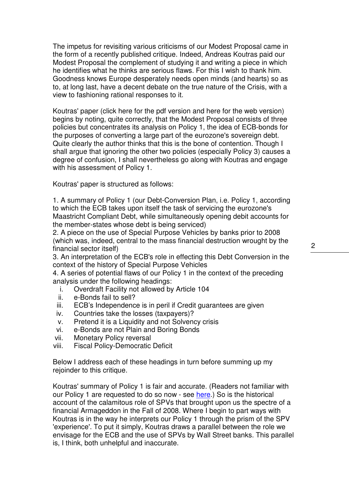The impetus for revisiting various criticisms of our Modest Proposal came in the form of a recently published critique. Indeed, Andreas Koutras paid our Modest Proposal the complement of studying it and writing a piece in which he identifies what he thinks are serious flaws. For this I wish to thank him. Goodness knows Europe desperately needs open minds (and hearts) so as to, at long last, have a decent debate on the true nature of the Crisis, with a view to fashioning rational responses to it.

Koutras' paper (click here for the pdf version and here for the web version) begins by noting, quite correctly, that the Modest Proposal consists of three policies but concentrates its analysis on Policy 1, the idea of ECB-bonds for the purposes of converting a large part of the eurozone's sovereign debt. Quite clearly the author thinks that this is the bone of contention. Though I shall argue that ignoring the other two policies (especially Policy 3) causes a degree of confusion, I shall nevertheless go along with Koutras and engage with his assessment of Policy 1.

Koutras' paper is structured as follows:

1. A summary of Policy 1 (our Debt-Conversion Plan, i.e. Policy 1, according to which the ECB takes upon itself the task of servicing the eurozone's Maastricht Compliant Debt, while simultaneously opening debit accounts for the member-states whose debt is being serviced)

2. A piece on the use of Special Purpose Vehicles by banks prior to 2008 (which was, indeed, central to the mass financial destruction wrought by the financial sector itself)

3. An interpretation of the ECB's role in effecting this Debt Conversion in the context of the history of Special Purpose Vehicles

4. A series of potential flaws of our Policy 1 in the context of the preceding analysis under the following headings:

- i. Overdraft Facility not allowed by Article 104
- ii. e-Bonds fail to sell?
- iii. ECB's Independence is in peril if Credit guarantees are given
- iv. Countries take the losses (taxpayers)?
- v. Pretend it is a Liquidity and not Solvency crisis
- vi. e-Bonds are not Plain and Boring Bonds
- vii. Monetary Policy reversal
- viii. Fiscal Policy-Democratic Deficit

Below I address each of these headings in turn before summing up my rejoinder to this critique.

Koutras' summary of Policy 1 is fair and accurate. (Readers not familiar with our Policy 1 are requested to do so now - see here.) So is the historical account of the calamitous role of SPVs that brought upon us the spectre of a financial Armageddon in the Fall of 2008. Where I begin to part ways with Koutras is in the way he interprets our Policy 1 through the prism of the SPV 'experience'. To put it simply, Koutras draws a parallel between the role we envisage for the ECB and the use of SPVs by Wall Street banks. This parallel is, I think, both unhelpful and inaccurate.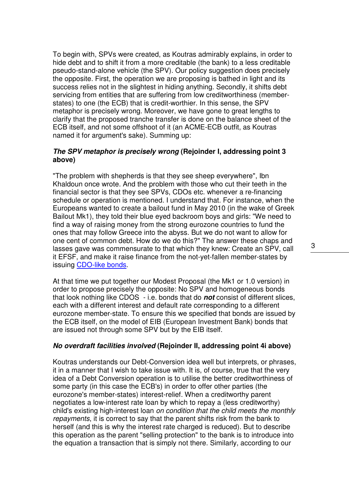To begin with, SPVs were created, as Koutras admirably explains, in order to hide debt and to shift it from a more creditable (the bank) to a less creditable pseudo-stand-alone vehicle (the SPV). Our policy suggestion does precisely the opposite. First, the operation we are proposing is bathed in light and its success relies not in the slightest in hiding anything. Secondly, it shifts debt servicing from entities that are suffering from low creditworthiness (memberstates) to one (the ECB) that is credit-worthier. In this sense, the SPV metaphor is precisely wrong. Moreover, we have gone to great lengths to clarify that the proposed tranche transfer is done on the balance sheet of the ECB itself, and not some offshoot of it (an ACME-ECB outfit, as Koutras named it for argument's sake). Summing up:

# **The SPV metaphor is precisely wrong (Rejoinder I, addressing point 3 above)**

"The problem with shepherds is that they see sheep everywhere", Ibn Khaldoun once wrote. And the problem with those who cut their teeth in the financial sector is that they see SPVs, CDOs etc. whenever a re-financing schedule or operation is mentioned. I understand that. For instance, when the Europeans wanted to create a bailout fund in May 2010 (in the wake of Greek Bailout Mk1), they told their blue eyed backroom boys and girls: "We need to find a way of raising money from the strong eurozone countries to fund the ones that may follow Greece into the abyss. But we do not want to allow for one cent of common debt. How do we do this?" The answer these chaps and lasses gave was commensurate to that which they knew: Create an SPV, call it EFSF, and make it raise finance from the not-yet-fallen member-states by issuing CDO-like bonds.

At that time we put together our Modest Proposal (the Mk1 or 1.0 version) in order to propose precisely the opposite: No SPV and homogeneous bonds that look nothing like CDOS - i.e. bonds that do **not** consist of different slices, each with a different interest and default rate corresponding to a different eurozone member-state. To ensure this we specified that bonds are issued by the ECB itself, on the model of EIB (European Investment Bank) bonds that are issued not through some SPV but by the EIB itself.

# **No overdraft facilities involved (Rejoinder II, addressing point 4i above)**

Koutras understands our Debt-Conversion idea well but interprets, or phrases, it in a manner that I wish to take issue with. It is, of course, true that the very idea of a Debt Conversion operation is to utilise the better creditworthiness of some party (in this case the ECB's) in order to offer other parties (the eurozone's member-states) interest-relief. When a creditworthy parent negotiates a low-interest rate loan by which to repay a (less creditworthy) child's existing high-interest loan on condition that the child meets the monthly repayments, it is correct to say that the parent shifts risk from the bank to herself (and this is why the interest rate charged is reduced). But to describe this operation as the parent "selling protection" to the bank is to introduce into the equation a transaction that is simply not there. Similarly, according to our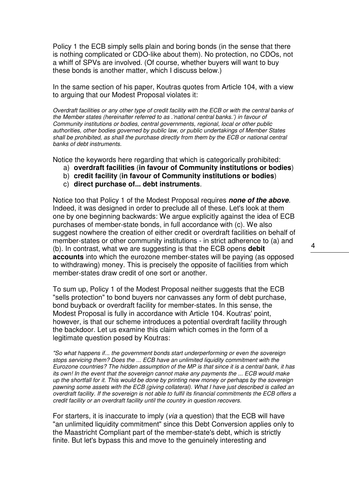Policy 1 the ECB simply sells plain and boring bonds (in the sense that there is nothing complicated or CDO-like about them). No protection, no CDOs, not a whiff of SPVs are involved. (Of course, whether buyers will want to buy these bonds is another matter, which I discuss below.)

In the same section of his paper, Koutras quotes from Article 104, with a view to arguing that our Modest Proposal violates it:

Overdraft facilities or any other type of credit facility with the ECB or with the central banks of the Member states (hereinafter referred to as .'national central banks.') in favour of Community institutions or bodies, central governments, regional, local or other public authorities, other bodies governed by public law, or public undertakings of Member States shall be prohibited, as shall the purchase directly from them by the ECB or national central banks of debt instruments.

Notice the keywords here regarding that which is categorically prohibited:

- a) **overdraft facilities** (**in favour of Community institutions or bodies**)
- b) **credit facility** (**in favour of Community institutions or bodies**)
- c) **direct purchase of... debt instruments**.

Notice too that Policy 1 of the Modest Proposal requires **none of the above**. Indeed, it was designed in order to preclude all of these. Let's look at them one by one beginning backwards: We argue explicitly against the idea of ECB purchases of member-state bonds, in full accordance with (c). We also suggest nowhere the creation of either credit or overdraft facilities on behalf of member-states or other community institutions - in strict adherence to (a) and (b). In contrast, what we are suggesting is that the ECB opens **debit accounts** into which the eurozone member-states will be paying (as opposed to withdrawing) money. This is precisely the opposite of facilities from which member-states draw credit of one sort or another.

To sum up, Policy 1 of the Modest Proposal neither suggests that the ECB "sells protection" to bond buyers nor canvasses any form of debt purchase, bond buyback or overdraft facility for member-states. In this sense, the Modest Proposal is fully in accordance with Article 104. Koutras' point, however, is that our scheme introduces a potential overdraft facility through the backdoor. Let us examine this claim which comes in the form of a legitimate question posed by Koutras:

"So what happens if... the government bonds start underperforming or even the sovereign stops servicing them? Does the ... ECB have an unlimited liquidity commitment with the Eurozone countries? The hidden assumption of the MP is that since it is a central bank, it has its own! In the event that the sovereign cannot make any payments the ... ECB would make up the shortfall for it. This would be done by printing new money or perhaps by the sovereign pawning some assets with the ECB (giving collateral). What I have just described is called an overdraft facility. If the sovereign is not able to fulfil its financial commitments the ECB offers a credit facility or an overdraft facility until the country in question recovers.

For starters, it is inaccurate to imply (via a question) that the ECB will have "an unlimited liquidity commitment" since this Debt Conversion applies only to the Maastricht Compliant part of the member-state's debt, which is strictly finite. But let's bypass this and move to the genuinely interesting and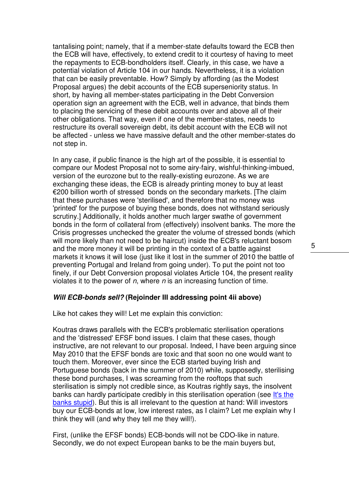tantalising point; namely, that if a member-state defaults toward the ECB then the ECB will have, effectively, to extend credit to it courtesy of having to meet the repayments to ECB-bondholders itself. Clearly, in this case, we have a potential violation of Article 104 in our hands. Nevertheless, it is a violation that can be easily preventable. How? Simply by affording (as the Modest Proposal argues) the debit accounts of the ECB superseniority status. In short, by having all member-states participating in the Debt Conversion operation sign an agreement with the ECB, well in advance, that binds them to placing the servicing of these debit accounts over and above all of their other obligations. That way, even if one of the member-states, needs to restructure its overall sovereign debt, its debit account with the ECB will not be affected - unless we have massive default and the other member-states do not step in.

In any case, if public finance is the high art of the possible, it is essential to compare our Modest Proposal not to some airy-fairy, wishful-thinking-imbued, version of the eurozone but to the really-existing eurozone. As we are exchanging these ideas, the ECB is already printing money to buy at least €200 billion worth of stressed bonds on the secondary markets. [The claim that these purchases were 'sterilised', and therefore that no money was 'printed' for the purpose of buying these bonds, does not withstand seriously scrutiny.] Additionally, it holds another much larger swathe of government bonds in the form of collateral from (effectively) insolvent banks. The more the Crisis progresses unchecked the greater the volume of stressed bonds (which will more likely than not need to be haircut) inside the ECB's reluctant bosom and the more money it will be printing in the context of a battle against markets it knows it will lose (just like it lost in the summer of 2010 the battle of preventing Portugal and Ireland from going under). To put the point not too finely, if our Debt Conversion proposal violates Article 104, the present reality violates it to the power of  $n$ , where  $n$  is an increasing function of time.

### **Will ECB-bonds sell? (Rejoinder III addressing point 4ii above)**

Like hot cakes they will! Let me explain this conviction:

Koutras draws parallels with the ECB's problematic sterilisation operations and the 'distressed' EFSF bond issues. I claim that these cases, though instructive, are not relevant to our proposal. Indeed, I have been arguing since May 2010 that the EFSF bonds are toxic and that soon no one would want to touch them. Moreover, ever since the ECB started buying Irish and Portuguese bonds (back in the summer of 2010) while, supposedly, sterilising these bond purchases, I was screaming from the rooftops that such sterilisation is simply not credible since, as Koutras rightly says, the insolvent banks can hardly participate credibly in this sterilisation operation (see It's the banks stupid). But this is all irrelevant to the question at hand: Will investors buy our ECB-bonds at low, low interest rates, as I claim? Let me explain why I think they will (and why they tell me they will!).

First, (unlike the EFSF bonds) ECB-bonds will not be CDO-like in nature. Secondly, we do not expect European banks to be the main buyers but,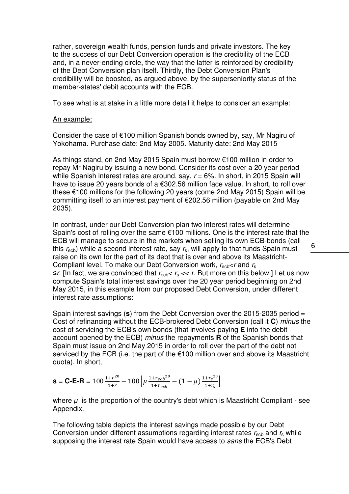rather, sovereign wealth funds, pension funds and private investors. The key to the success of our Debt Conversion operation is the credibility of the ECB and, in a never-ending circle, the way that the latter is reinforced by credibility of the Debt Conversion plan itself. Thirdly, the Debt Conversion Plan's credibility will be boosted, as argued above, by the superseniority status of the member-states' debit accounts with the ECB.

To see what is at stake in a little more detail it helps to consider an example:

### An example:

Consider the case of €100 million Spanish bonds owned by, say, Mr Nagiru of Yokohama. Purchase date: 2nd May 2005. Maturity date: 2nd May 2015

As things stand, on 2nd May 2015 Spain must borrow €100 million in order to repay Mr Nagiru by issuing a new bond. Consider its cost over a 20 year period while Spanish interest rates are around, say,  $r = 6\%$ . In short, in 2015 Spain will have to issue 20 years bonds of a €302.56 million face value. In short, to roll over these €100 millions for the following 20 years (come 2nd May 2015) Spain will be committing itself to an interest payment of €202.56 million (payable on 2nd May 2035).

In contrast, under our Debt Conversion plan two interest rates will determine Spain's cost of rolling over the same €100 millions. One is the interest rate that the ECB will manage to secure in the markets when selling its own ECB-bonds (call this  $r_{\rm ecb}$ ) while a second interest rate, say  $r_{\rm s}$ , will apply to that funds Spain must raise on its own for the part of its debt that is over and above its Maastricht-Compliant level. To make our Debt Conversion work,  $r_{\text{echo}} < r$  and  $r_{\text{s}}$  $\leq r$ . [In fact, we are convinced that  $r_{\text{echo}} < r_s < r$ . But more on this below.] Let us now compute Spain's total interest savings over the 20 year period beginning on 2nd May 2015, in this example from our proposed Debt Conversion, under different interest rate assumptions:

Spain interest savings (**s**) from the Debt Conversion over the 2015-2035 period = Cost of refinancing without the ECB-brokered Debt Conversion (call it **C**) minus the cost of servicing the ECB's own bonds (that involves paying **E** into the debit account opened by the ECB) minus the repayments **R** of the Spanish bonds that Spain must issue on 2nd May 2015 in order to roll over the part of the debt not serviced by the ECB (i.e. the part of the €100 million over and above its Maastricht quota). In short,

$$
\mathbf{S} = \mathbf{C} - \mathbf{E} - \mathbf{R} = 100 \frac{1 + r^{20}}{1 + r} - 100 \left[ \mu \frac{1 + r_{ecb}^{20}}{1 + r_{ecb}} - (1 - \mu) \frac{1 + r_s^{20}}{1 + r_s} \right]
$$

where  $\mu$  is the proportion of the country's debt which is Maastricht Compliant - see Appendix.

The following table depicts the interest savings made possible by our Debt Conversion under different assumptions regarding interest rates  $r_{\text{ech}}$  and  $r_{\text{s}}$  while supposing the interest rate Spain would have access to sans the ECB's Debt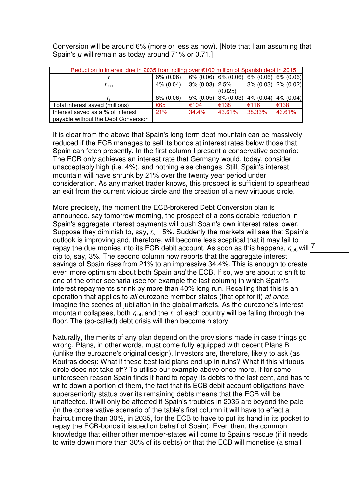Conversion will be around 6% (more or less as now). [Note that I am assuming that Spain's  $\mu$  will remain as today around 71% or 0.71.]

| Reduction in interest due in 2035 from rolling over €100 million of Spanish debt in 2015 |              |                   |                        |        |                                                     |
|------------------------------------------------------------------------------------------|--------------|-------------------|------------------------|--------|-----------------------------------------------------|
|                                                                                          | $6\% (0.06)$ |                   |                        |        | $6\%$ (0.06) $6\%$ (0.06) $6\%$ (0.06) $6\%$ (0.06) |
| $r_{\rm echo}$                                                                           | $4\%$ (0.04) | $3\% (0.03)$ 2.5% |                        |        | $3\%$ (0.03) $2\%$ (0.02)                           |
|                                                                                          |              |                   | (0.025)                |        |                                                     |
|                                                                                          | $6\% (0.06)$ |                   | $5\%$ (0.05) 3% (0.03) |        | $4\%$ (0.04) $4\%$ (0.04)                           |
| Total interest saved (millions)                                                          | €65          | €104              | €138                   | €116   | €138                                                |
| Interest saved as a % of interest                                                        | 21%          | 34.4%             | 43.61%                 | 38.33% | 43.61%                                              |
| payable without the Debt Conversion                                                      |              |                   |                        |        |                                                     |

It is clear from the above that Spain's long term debt mountain can be massively reduced if the ECB manages to sell its bonds at interest rates below those that Spain can fetch presently. In the first column I present a conservative scenario: The ECB only achieves an interest rate that Germany would, today, consider unacceptably high (i.e. 4%), and nothing else changes. Still, Spain's interest mountain will have shrunk by 21% over the twenty year period under consideration. As any market trader knows, this prospect is sufficient to spearhead an exit from the current vicious circle and the creation of a new virtuous circle.

repay the due monies into its ECB debit account. As soon as this happens,  $r_{\rm ecb}$  will  $\frac{7}{5}$ More precisely, the moment the ECB-brokered Debt Conversion plan is announced, say tomorrow morning, the prospect of a considerable reduction in Spain's aggregate interest payments will push Spain's own interest rates lower. Suppose they diminish to, say,  $r_s = 5\%$ . Suddenly the markets will see that Spain's outlook is improving and, therefore, will become less sceptical that it may fail to dip to, say, 3%. The second column now reports that the aggregate interest savings of Spain rises from 21% to an impressive 34.4%. This is enough to create even more optimism about both Spain and the ECB. If so, we are about to shift to one of the other scenaria (see for example the last column) in which Spain's interest repayments shrink by more than 40% long run. Recalling that this is an operation that applies to all eurozone member-states (that opt for it) at once, imagine the scenes of jubilation in the global markets. As the eurozone's interest mountain collapses, both  $r_{\text{echo}}$  and the  $r_s$  of each country will be falling through the floor. The (so-called) debt crisis will then become history!

Naturally, the merits of any plan depend on the provisions made in case things go wrong. Plans, in other words, must come fully equipped with decent Plans B (unlike the eurozone's original design). Investors are, therefore, likely to ask (as Koutras does): What if these best laid plans end up in ruins? What if this virtuous circle does not take off? To utilise our example above once more, if for some unforeseen reason Spain finds it hard to repay its debts to the last cent, and has to write down a portion of them, the fact that its ECB debit account obligations have superseniority status over its remaining debts means that the ECB will be unaffected. It will only be affected if Spain's troubles in 2035 are beyond the pale (in the conservative scenario of the table's first column it will have to effect a haircut more than 30%, in 2035, for the ECB to have to put its hand in its pocket to repay the ECB-bonds it issued on behalf of Spain). Even then, the common knowledge that either other member-states will come to Spain's rescue (if it needs to write down more than 30% of its debts) or that the ECB will monetise (a small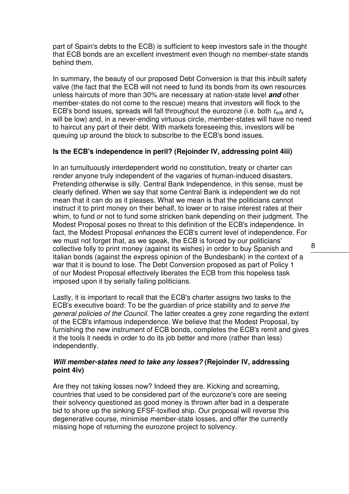part of Spain's debts to the ECB) is sufficient to keep investors safe in the thought that ECB bonds are an excellent investment even though no member-state stands behind them.

In summary, the beauty of our proposed Debt Conversion is that this inbuilt safety valve (the fact that the ECB will not need to fund its bonds from its own resources unless haircuts of more than 30% are necessary at nation-state level **and** other member-states do not come to the rescue) means that investors will flock to the ECB's bond issues, spreads will fall throughout the eurozone (i.e. both  $r_{\rm ecb}$  and  $r_{\rm s}$ will be low) and, in a never-ending virtuous circle, member-states will have no need to haircut any part of their debt. With markets foreseeing this, investors will be queuing up around the block to subscribe to the ECB's bond issues.

# **Is the ECB's independence in peril? (Rejoinder IV, addressing point 4iii)**

In an tumultuously interdependent world no constitution, treaty or charter can render anyone truly independent of the vagaries of human-induced disasters. Pretending otherwise is silly. Central Bank Independence, in this sense, must be clearly defined. When we say that some Central Bank is independent we do not mean that it can do as it pleases. What we mean is that the politicians cannot instruct it to print money on their behalf, to lower or to raise interest rates at their whim, to fund or not to fund some stricken bank depending on their judgment. The Modest Proposal poses no threat to this definition of the ECB's independence. In fact, the Modest Proposal enhances the ECB's current level of independence. For we must not forget that, as we speak, the ECB is forced by our politicians' collective folly to print money (against its wishes) in order to buy Spanish and Italian bonds (against the express opinion of the Bundesbank) in the context of a war that it is bound to lose. The Debt Conversion proposed as part of Policy 1 of our Modest Proposal effectively liberates the ECB from this hopeless task imposed upon it by serially failing politicians.

Lastly, it is important to recall that the ECB's charter assigns two tasks to the ECB's executive board: To be the guardian of price stability and to serve the general policies of the Council. The latter creates a grey zone regarding the extent of the ECB's infamous independence. We believe that the Modest Proposal, by furnishing the new instrument of ECB bonds, completes the ECB's remit and gives it the tools it needs in order to do its job better and more (rather than less) independently.

# **Will member-states need to take any losses? (Rejoinder IV, addressing point 4iv)**

Are they not taking losses now? Indeed they are. Kicking and screaming, countries that used to be considered part of the eurozone's core are seeing their solvency questioned as good money is thrown after bad in a desperate bid to shore up the sinking EFSF-toxified ship. Our proposal will reverse this degenerative course, minimise member-state losses, and offer the currently missing hope of returning the eurozone project to solvency.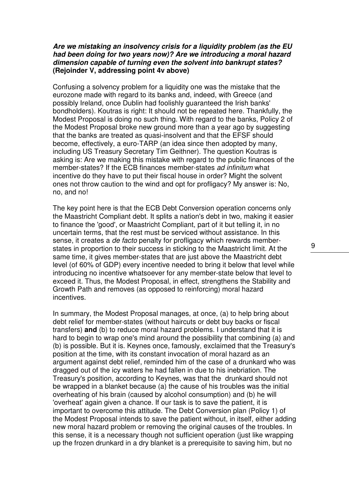# **Are we mistaking an insolvency crisis for a liquidity problem (as the EU had been doing for two years now)? Are we introducing a moral hazard dimension capable of turning even the solvent into bankrupt states? (Rejoinder V, addressing point 4v above)**

Confusing a solvency problem for a liquidity one was the mistake that the eurozone made with regard to its banks and, indeed, with Greece (and possibly Ireland, once Dublin had foolishly guaranteed the Irish banks' bondholders). Koutras is right: It should not be repeated here. Thankfully, the Modest Proposal is doing no such thing. With regard to the banks, Policy 2 of the Modest Proposal broke new ground more than a year ago by suggesting that the banks are treated as quasi-insolvent and that the EFSF should become, effectively, a euro-TARP (an idea since then adopted by many, including US Treasury Secretary Tim Geithner). The question Koutras is asking is: Are we making this mistake with regard to the public finances of the member-states? If the ECB finances member-states ad infinitum what incentive do they have to put their fiscal house in order? Might the solvent ones not throw caution to the wind and opt for profligacy? My answer is: No, no, and no!

The key point here is that the ECB Debt Conversion operation concerns only the Maastricht Compliant debt. It splits a nation's debt in two, making it easier to finance the 'good', or Maastricht Compliant, part of it but telling it, in no uncertain terms, that the rest must be serviced without assistance. In this sense, it creates a de facto penalty for profligacy which rewards memberstates in proportion to their success in sticking to the Maastricht limit. At the same time, it gives member-states that are just above the Maastricht debt level (of 60% of GDP) every incentive needed to bring it below that level while introducing no incentive whatsoever for any member-state below that level to exceed it. Thus, the Modest Proposal, in effect, strengthens the Stability and Growth Path and removes (as opposed to reinforcing) moral hazard incentives.

In summary, the Modest Proposal manages, at once, (a) to help bring about debt relief for member-states (without haircuts or debt buy backs or fiscal transfers) **and** (b) to reduce moral hazard problems. I understand that it is hard to begin to wrap one's mind around the possibility that combining (a) and (b) is possible. But it is. Keynes once, famously, exclaimed that the Treasury's position at the time, with its constant invocation of moral hazard as an argument against debt relief, reminded him of the case of a drunkard who was dragged out of the icy waters he had fallen in due to his inebriation. The Treasury's position, according to Keynes, was that the drunkard should not be wrapped in a blanket because (a) the cause of his troubles was the initial overheating of his brain (caused by alcohol consumption) and (b) he will 'overheat' again given a chance. If our task is to save the patient, it is important to overcome this attitude. The Debt Conversion plan (Policy 1) of the Modest Proposal intends to save the patient without, in itself, either adding new moral hazard problem or removing the original causes of the troubles. In this sense, it is a necessary though not sufficient operation (just like wrapping up the frozen drunkard in a dry blanket is a prerequisite to saving him, but no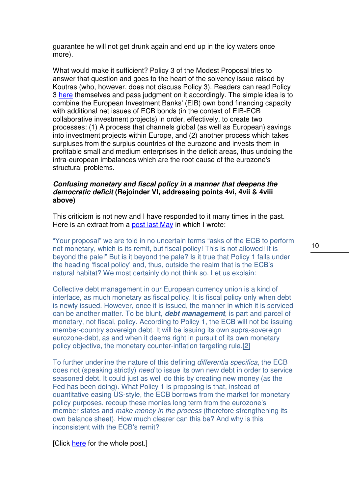guarantee he will not get drunk again and end up in the icy waters once more).

What would make it sufficient? Policy 3 of the Modest Proposal tries to answer that question and goes to the heart of the solvency issue raised by Koutras (who, however, does not discuss Policy 3). Readers can read Policy 3 here themselves and pass judgment on it accordingly. The simple idea is to combine the European Investment Banks' (EIB) own bond financing capacity with additional net issues of ECB bonds (in the context of EIB-ECB collaborative investment projects) in order, effectively, to create two processes: (1) A process that channels global (as well as European) savings into investment projects within Europe, and (2) another process which takes surpluses from the surplus countries of the eurozone and invests them in profitable small and medium enterprises in the deficit areas, thus undoing the intra-european imbalances which are the root cause of the eurozone's structural problems.

# **Confusing monetary and fiscal policy in a manner that deepens the democratic deficit (Rejoinder VI, addressing points 4vi, 4vii & 4viii above)**

This criticism is not new and I have responded to it many times in the past. Here is an extract from a post last May in which I wrote:

"Your proposal" we are told in no uncertain terms "asks of the ECB to perform not monetary, which is its remit, but fiscal policy! This is not allowed! It is beyond the pale!" But is it beyond the pale? Is it true that Policy 1 falls under the heading 'fiscal policy' and, thus, outside the realm that is the ECB's natural habitat? We most certainly do not think so. Let us explain:

Collective debt management in our European currency union is a kind of interface, as much monetary as fiscal policy. It is fiscal policy only when debt is newly issued. However, once it is issued, the manner in which it is serviced can be another matter. To be blunt, **debt management**, is part and parcel of monetary, not fiscal, policy. According to Policy 1, the ECB will not be issuing member-country sovereign debt. It will be issuing its own supra-sovereign eurozone-debt, as and when it deems right in pursuit of its own monetary policy objective, the monetary counter-inflation targeting rule.[2]

To further underline the nature of this defining differentia specifica, the ECB does not (speaking strictly) need to issue its own new debt in order to service seasoned debt. It could just as well do this by creating new money (as the Fed has been doing). What Policy 1 is proposing is that, instead of quantitative easing US-style, the ECB borrows from the market for monetary policy purposes, recoup these monies long term from the eurozone's member-states and *make money in the process* (therefore strengthening its own balance sheet). How much clearer can this be? And why is this inconsistent with the ECB's remit?

[Click here for the whole post.]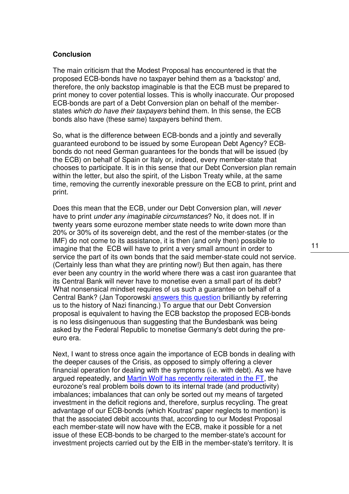### **Conclusion**

The main criticism that the Modest Proposal has encountered is that the proposed ECB-bonds have no taxpayer behind them as a 'backstop' and, therefore, the only backstop imaginable is that the ECB must be prepared to print money to cover potential losses. This is wholly inaccurate. Our proposed ECB-bonds are part of a Debt Conversion plan on behalf of the memberstates which do have their taxpayers behind them. In this sense, the ECB bonds also have (these same) taxpayers behind them.

So, what is the difference between ECB-bonds and a jointly and severally guaranteed eurobond to be issued by some European Debt Agency? ECBbonds do not need German guarantees for the bonds that will be issued (by the ECB) on behalf of Spain or Italy or, indeed, every member-state that chooses to participate. It is in this sense that our Debt Conversion plan remain within the letter, but also the spirit, of the Lisbon Treaty while, at the same time, removing the currently inexorable pressure on the ECB to print, print and print.

Does this mean that the ECB, under our Debt Conversion plan, will never have to print under any imaginable circumstances? No, it does not. If in twenty years some eurozone member state needs to write down more than 20% or 30% of its sovereign debt, and the rest of the member-states (or the IMF) do not come to its assistance, it is then (and only then) possible to imagine that the ECB will have to print a very small amount in order to service the part of its own bonds that the said member-state could not service. (Certainly less than what they are printing now!) But then again, has there ever been any country in the world where there was a cast iron guarantee that its Central Bank will never have to monetise even a small part of its debt? What nonsensical mindset requires of us such a guarantee on behalf of a Central Bank? (Jan Toporowski answers this question brilliantly by referring us to the history of Nazi financing.) To argue that our Debt Conversion proposal is equivalent to having the ECB backstop the proposed ECB-bonds is no less disingenuous than suggesting that the Bundesbank was being asked by the Federal Republic to monetise Germany's debt during the preeuro era.

Next, I want to stress once again the importance of ECB bonds in dealing with the deeper causes of the Crisis, as opposed to simply offering a clever financial operation for dealing with the symptoms (i.e. with debt). As we have argued repeatedly, and Martin Wolf has recently reiterated in the FT, the eurozone's real problem boils down to its internal trade (and productivity) imbalances; imbalances that can only be sorted out my means of targeted investment in the deficit regions and, therefore, surplus recycling. The great advantage of our ECB-bonds (which Koutras' paper neglects to mention) is that the associated debit accounts that, according to our Modest Proposal each member-state will now have with the ECB, make it possible for a net issue of these ECB-bonds to be charged to the member-state's account for investment projects carried out by the EIB in the member-state's territory. It is